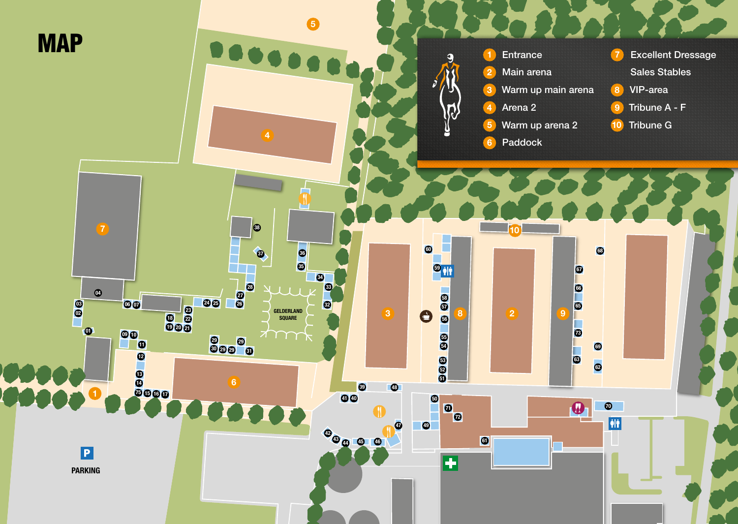